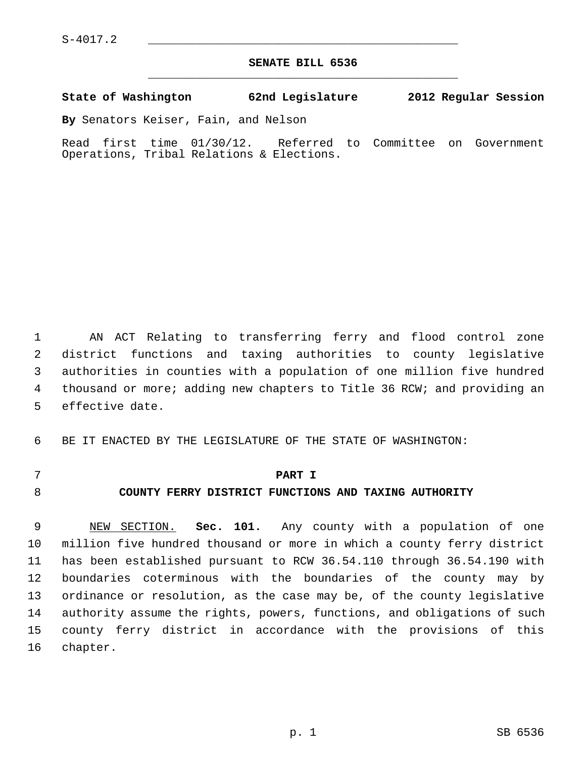$S-4017.2$ 

# **SENATE BILL 6536** \_\_\_\_\_\_\_\_\_\_\_\_\_\_\_\_\_\_\_\_\_\_\_\_\_\_\_\_\_\_\_\_\_\_\_\_\_\_\_\_\_\_\_\_\_

### **State of Washington 62nd Legislature 2012 Regular Session**

**By** Senators Keiser, Fain, and Nelson

Read first time 01/30/12. Referred to Committee on Government Operations, Tribal Relations & Elections.

 1 AN ACT Relating to transferring ferry and flood control zone 2 district functions and taxing authorities to county legislative 3 authorities in counties with a population of one million five hundred 4 thousand or more; adding new chapters to Title 36 RCW; and providing an 5 effective date.

6 BE IT ENACTED BY THE LEGISLATURE OF THE STATE OF WASHINGTON:

- 
- 

### 7 **PART I**

# 8 **COUNTY FERRY DISTRICT FUNCTIONS AND TAXING AUTHORITY**

 9 NEW SECTION. **Sec. 101.** Any county with a population of one 10 million five hundred thousand or more in which a county ferry district 11 has been established pursuant to RCW 36.54.110 through 36.54.190 with 12 boundaries coterminous with the boundaries of the county may by 13 ordinance or resolution, as the case may be, of the county legislative 14 authority assume the rights, powers, functions, and obligations of such 15 county ferry district in accordance with the provisions of this 16 chapter.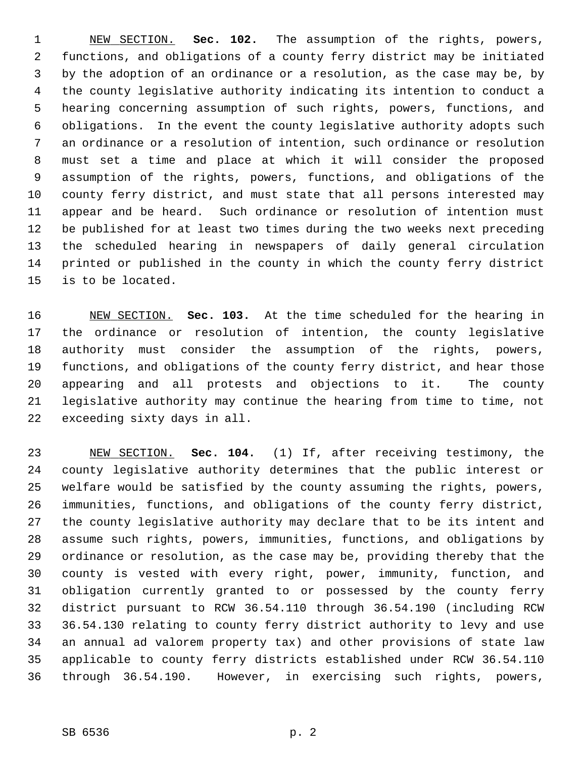1 NEW SECTION. **Sec. 102.** The assumption of the rights, powers, 2 functions, and obligations of a county ferry district may be initiated 3 by the adoption of an ordinance or a resolution, as the case may be, by 4 the county legislative authority indicating its intention to conduct a 5 hearing concerning assumption of such rights, powers, functions, and 6 obligations. In the event the county legislative authority adopts such 7 an ordinance or a resolution of intention, such ordinance or resolution 8 must set a time and place at which it will consider the proposed 9 assumption of the rights, powers, functions, and obligations of the 10 county ferry district, and must state that all persons interested may 11 appear and be heard. Such ordinance or resolution of intention must 12 be published for at least two times during the two weeks next preceding 13 the scheduled hearing in newspapers of daily general circulation 14 printed or published in the county in which the county ferry district 15 is to be located.

16 NEW SECTION. **Sec. 103.** At the time scheduled for the hearing in 17 the ordinance or resolution of intention, the county legislative 18 authority must consider the assumption of the rights, powers, 19 functions, and obligations of the county ferry district, and hear those 20 appearing and all protests and objections to it. The county 21 legislative authority may continue the hearing from time to time, not 22 exceeding sixty days in all.

23 NEW SECTION. **Sec. 104.** (1) If, after receiving testimony, the 24 county legislative authority determines that the public interest or 25 welfare would be satisfied by the county assuming the rights, powers, 26 immunities, functions, and obligations of the county ferry district, 27 the county legislative authority may declare that to be its intent and 28 assume such rights, powers, immunities, functions, and obligations by 29 ordinance or resolution, as the case may be, providing thereby that the 30 county is vested with every right, power, immunity, function, and 31 obligation currently granted to or possessed by the county ferry 32 district pursuant to RCW 36.54.110 through 36.54.190 (including RCW 33 36.54.130 relating to county ferry district authority to levy and use 34 an annual ad valorem property tax) and other provisions of state law 35 applicable to county ferry districts established under RCW 36.54.110 36 through 36.54.190. However, in exercising such rights, powers,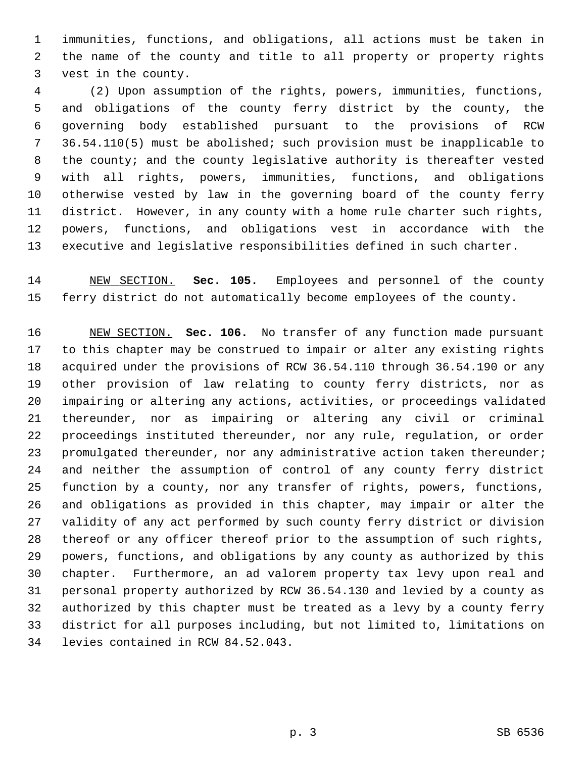1 immunities, functions, and obligations, all actions must be taken in 2 the name of the county and title to all property or property rights 3 vest in the county.

 4 (2) Upon assumption of the rights, powers, immunities, functions, 5 and obligations of the county ferry district by the county, the 6 governing body established pursuant to the provisions of RCW 7 36.54.110(5) must be abolished; such provision must be inapplicable to 8 the county; and the county legislative authority is thereafter vested 9 with all rights, powers, immunities, functions, and obligations 10 otherwise vested by law in the governing board of the county ferry 11 district. However, in any county with a home rule charter such rights, 12 powers, functions, and obligations vest in accordance with the 13 executive and legislative responsibilities defined in such charter.

14 NEW SECTION. **Sec. 105.** Employees and personnel of the county 15 ferry district do not automatically become employees of the county.

16 NEW SECTION. **Sec. 106.** No transfer of any function made pursuant 17 to this chapter may be construed to impair or alter any existing rights 18 acquired under the provisions of RCW 36.54.110 through 36.54.190 or any 19 other provision of law relating to county ferry districts, nor as 20 impairing or altering any actions, activities, or proceedings validated 21 thereunder, nor as impairing or altering any civil or criminal 22 proceedings instituted thereunder, nor any rule, regulation, or order 23 promulgated thereunder, nor any administrative action taken thereunder; 24 and neither the assumption of control of any county ferry district 25 function by a county, nor any transfer of rights, powers, functions, 26 and obligations as provided in this chapter, may impair or alter the 27 validity of any act performed by such county ferry district or division 28 thereof or any officer thereof prior to the assumption of such rights, 29 powers, functions, and obligations by any county as authorized by this 30 chapter. Furthermore, an ad valorem property tax levy upon real and 31 personal property authorized by RCW 36.54.130 and levied by a county as 32 authorized by this chapter must be treated as a levy by a county ferry 33 district for all purposes including, but not limited to, limitations on 34 levies contained in RCW 84.52.043.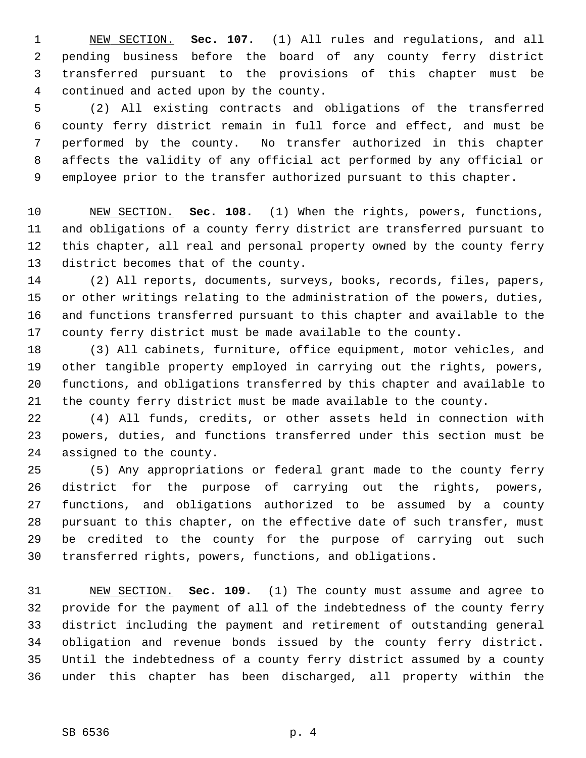1 NEW SECTION. **Sec. 107.** (1) All rules and regulations, and all 2 pending business before the board of any county ferry district 3 transferred pursuant to the provisions of this chapter must be 4 continued and acted upon by the county.

 5 (2) All existing contracts and obligations of the transferred 6 county ferry district remain in full force and effect, and must be 7 performed by the county. No transfer authorized in this chapter 8 affects the validity of any official act performed by any official or 9 employee prior to the transfer authorized pursuant to this chapter.

10 NEW SECTION. **Sec. 108.** (1) When the rights, powers, functions, 11 and obligations of a county ferry district are transferred pursuant to 12 this chapter, all real and personal property owned by the county ferry 13 district becomes that of the county.

14 (2) All reports, documents, surveys, books, records, files, papers, 15 or other writings relating to the administration of the powers, duties, 16 and functions transferred pursuant to this chapter and available to the 17 county ferry district must be made available to the county.

18 (3) All cabinets, furniture, office equipment, motor vehicles, and 19 other tangible property employed in carrying out the rights, powers, 20 functions, and obligations transferred by this chapter and available to 21 the county ferry district must be made available to the county.

22 (4) All funds, credits, or other assets held in connection with 23 powers, duties, and functions transferred under this section must be 24 assigned to the county.

25 (5) Any appropriations or federal grant made to the county ferry 26 district for the purpose of carrying out the rights, powers, 27 functions, and obligations authorized to be assumed by a county 28 pursuant to this chapter, on the effective date of such transfer, must 29 be credited to the county for the purpose of carrying out such 30 transferred rights, powers, functions, and obligations.

31 NEW SECTION. **Sec. 109.** (1) The county must assume and agree to 32 provide for the payment of all of the indebtedness of the county ferry 33 district including the payment and retirement of outstanding general 34 obligation and revenue bonds issued by the county ferry district. 35 Until the indebtedness of a county ferry district assumed by a county 36 under this chapter has been discharged, all property within the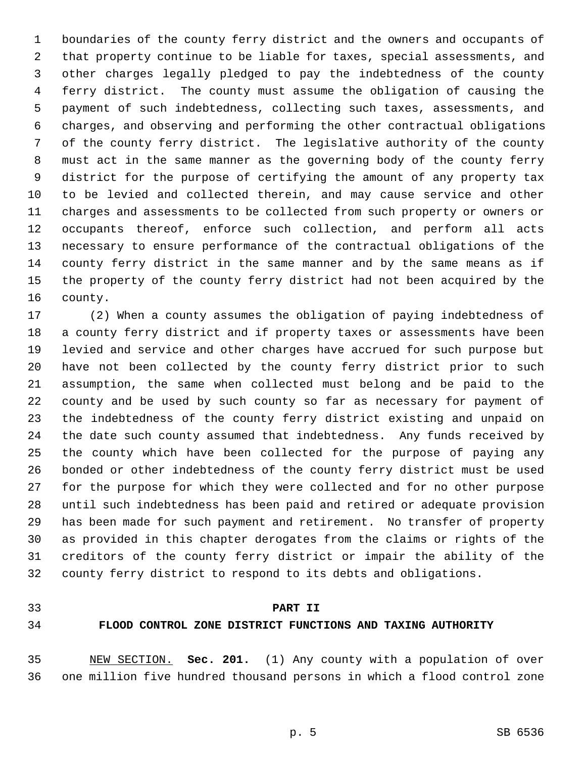1 boundaries of the county ferry district and the owners and occupants of 2 that property continue to be liable for taxes, special assessments, and 3 other charges legally pledged to pay the indebtedness of the county 4 ferry district. The county must assume the obligation of causing the 5 payment of such indebtedness, collecting such taxes, assessments, and 6 charges, and observing and performing the other contractual obligations 7 of the county ferry district. The legislative authority of the county 8 must act in the same manner as the governing body of the county ferry 9 district for the purpose of certifying the amount of any property tax 10 to be levied and collected therein, and may cause service and other 11 charges and assessments to be collected from such property or owners or 12 occupants thereof, enforce such collection, and perform all acts 13 necessary to ensure performance of the contractual obligations of the 14 county ferry district in the same manner and by the same means as if 15 the property of the county ferry district had not been acquired by the 16 county.

17 (2) When a county assumes the obligation of paying indebtedness of 18 a county ferry district and if property taxes or assessments have been 19 levied and service and other charges have accrued for such purpose but 20 have not been collected by the county ferry district prior to such 21 assumption, the same when collected must belong and be paid to the 22 county and be used by such county so far as necessary for payment of 23 the indebtedness of the county ferry district existing and unpaid on 24 the date such county assumed that indebtedness. Any funds received by 25 the county which have been collected for the purpose of paying any 26 bonded or other indebtedness of the county ferry district must be used 27 for the purpose for which they were collected and for no other purpose 28 until such indebtedness has been paid and retired or adequate provision 29 has been made for such payment and retirement. No transfer of property 30 as provided in this chapter derogates from the claims or rights of the 31 creditors of the county ferry district or impair the ability of the 32 county ferry district to respond to its debts and obligations.

## 33 **PART II**

### 34 **FLOOD CONTROL ZONE DISTRICT FUNCTIONS AND TAXING AUTHORITY**

35 NEW SECTION. **Sec. 201.** (1) Any county with a population of over 36 one million five hundred thousand persons in which a flood control zone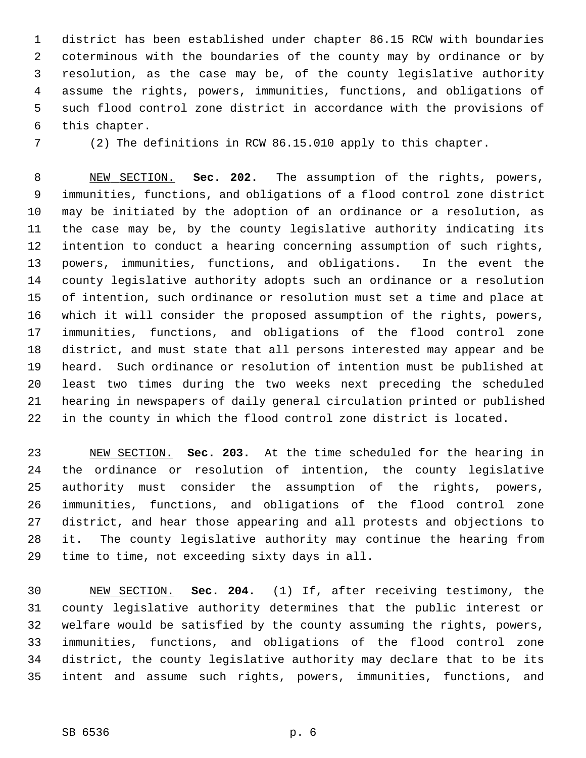1 district has been established under chapter 86.15 RCW with boundaries 2 coterminous with the boundaries of the county may by ordinance or by 3 resolution, as the case may be, of the county legislative authority 4 assume the rights, powers, immunities, functions, and obligations of 5 such flood control zone district in accordance with the provisions of 6 this chapter.

7 (2) The definitions in RCW 86.15.010 apply to this chapter.

 8 NEW SECTION. **Sec. 202.** The assumption of the rights, powers, 9 immunities, functions, and obligations of a flood control zone district 10 may be initiated by the adoption of an ordinance or a resolution, as 11 the case may be, by the county legislative authority indicating its 12 intention to conduct a hearing concerning assumption of such rights, 13 powers, immunities, functions, and obligations. In the event the 14 county legislative authority adopts such an ordinance or a resolution 15 of intention, such ordinance or resolution must set a time and place at 16 which it will consider the proposed assumption of the rights, powers, 17 immunities, functions, and obligations of the flood control zone 18 district, and must state that all persons interested may appear and be 19 heard. Such ordinance or resolution of intention must be published at 20 least two times during the two weeks next preceding the scheduled 21 hearing in newspapers of daily general circulation printed or published 22 in the county in which the flood control zone district is located.

23 NEW SECTION. **Sec. 203.** At the time scheduled for the hearing in 24 the ordinance or resolution of intention, the county legislative 25 authority must consider the assumption of the rights, powers, 26 immunities, functions, and obligations of the flood control zone 27 district, and hear those appearing and all protests and objections to 28 it. The county legislative authority may continue the hearing from 29 time to time, not exceeding sixty days in all.

30 NEW SECTION. **Sec. 204.** (1) If, after receiving testimony, the 31 county legislative authority determines that the public interest or 32 welfare would be satisfied by the county assuming the rights, powers, 33 immunities, functions, and obligations of the flood control zone 34 district, the county legislative authority may declare that to be its 35 intent and assume such rights, powers, immunities, functions, and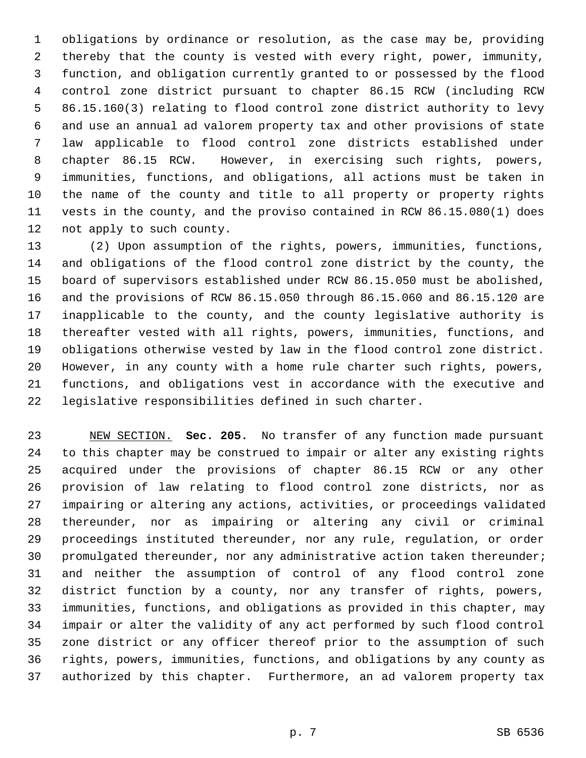1 obligations by ordinance or resolution, as the case may be, providing 2 thereby that the county is vested with every right, power, immunity, 3 function, and obligation currently granted to or possessed by the flood 4 control zone district pursuant to chapter 86.15 RCW (including RCW 5 86.15.160(3) relating to flood control zone district authority to levy 6 and use an annual ad valorem property tax and other provisions of state 7 law applicable to flood control zone districts established under 8 chapter 86.15 RCW. However, in exercising such rights, powers, 9 immunities, functions, and obligations, all actions must be taken in 10 the name of the county and title to all property or property rights 11 vests in the county, and the proviso contained in RCW 86.15.080(1) does 12 not apply to such county.

13 (2) Upon assumption of the rights, powers, immunities, functions, 14 and obligations of the flood control zone district by the county, the 15 board of supervisors established under RCW 86.15.050 must be abolished, 16 and the provisions of RCW 86.15.050 through 86.15.060 and 86.15.120 are 17 inapplicable to the county, and the county legislative authority is 18 thereafter vested with all rights, powers, immunities, functions, and 19 obligations otherwise vested by law in the flood control zone district. 20 However, in any county with a home rule charter such rights, powers, 21 functions, and obligations vest in accordance with the executive and 22 legislative responsibilities defined in such charter.

23 NEW SECTION. **Sec. 205.** No transfer of any function made pursuant 24 to this chapter may be construed to impair or alter any existing rights 25 acquired under the provisions of chapter 86.15 RCW or any other 26 provision of law relating to flood control zone districts, nor as 27 impairing or altering any actions, activities, or proceedings validated 28 thereunder, nor as impairing or altering any civil or criminal 29 proceedings instituted thereunder, nor any rule, regulation, or order 30 promulgated thereunder, nor any administrative action taken thereunder; 31 and neither the assumption of control of any flood control zone 32 district function by a county, nor any transfer of rights, powers, 33 immunities, functions, and obligations as provided in this chapter, may 34 impair or alter the validity of any act performed by such flood control 35 zone district or any officer thereof prior to the assumption of such 36 rights, powers, immunities, functions, and obligations by any county as 37 authorized by this chapter. Furthermore, an ad valorem property tax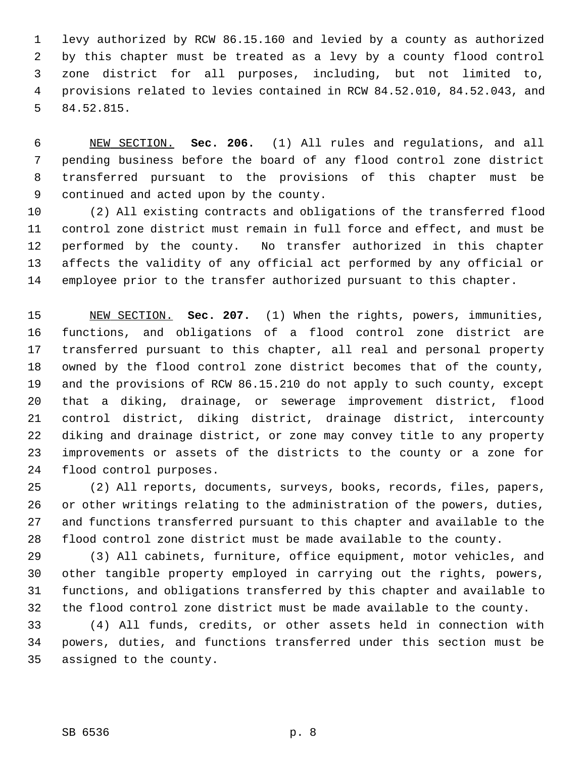1 levy authorized by RCW 86.15.160 and levied by a county as authorized 2 by this chapter must be treated as a levy by a county flood control 3 zone district for all purposes, including, but not limited to, 4 provisions related to levies contained in RCW 84.52.010, 84.52.043, and 5 84.52.815.

 6 NEW SECTION. **Sec. 206.** (1) All rules and regulations, and all 7 pending business before the board of any flood control zone district 8 transferred pursuant to the provisions of this chapter must be 9 continued and acted upon by the county.

10 (2) All existing contracts and obligations of the transferred flood 11 control zone district must remain in full force and effect, and must be 12 performed by the county. No transfer authorized in this chapter 13 affects the validity of any official act performed by any official or 14 employee prior to the transfer authorized pursuant to this chapter.

15 NEW SECTION. **Sec. 207.** (1) When the rights, powers, immunities, 16 functions, and obligations of a flood control zone district are 17 transferred pursuant to this chapter, all real and personal property 18 owned by the flood control zone district becomes that of the county, 19 and the provisions of RCW 86.15.210 do not apply to such county, except 20 that a diking, drainage, or sewerage improvement district, flood 21 control district, diking district, drainage district, intercounty 22 diking and drainage district, or zone may convey title to any property 23 improvements or assets of the districts to the county or a zone for 24 flood control purposes.

25 (2) All reports, documents, surveys, books, records, files, papers, 26 or other writings relating to the administration of the powers, duties, 27 and functions transferred pursuant to this chapter and available to the 28 flood control zone district must be made available to the county.

29 (3) All cabinets, furniture, office equipment, motor vehicles, and 30 other tangible property employed in carrying out the rights, powers, 31 functions, and obligations transferred by this chapter and available to 32 the flood control zone district must be made available to the county.

33 (4) All funds, credits, or other assets held in connection with 34 powers, duties, and functions transferred under this section must be 35 assigned to the county.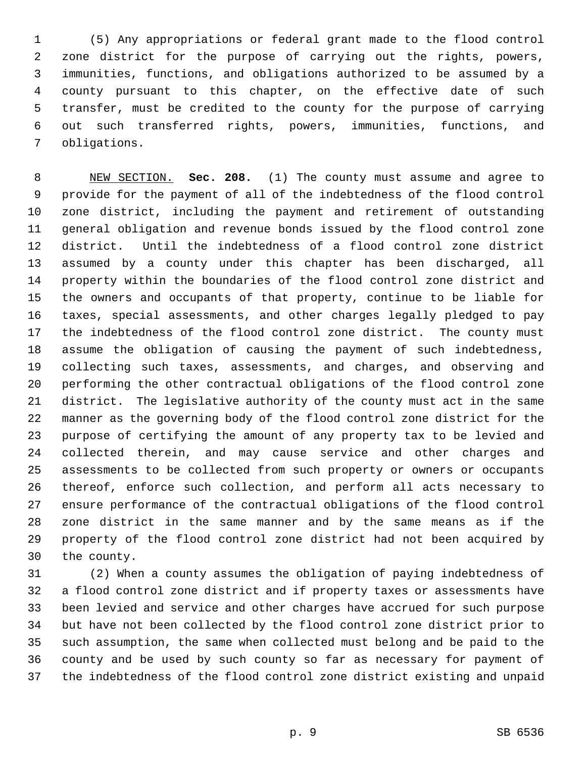1 (5) Any appropriations or federal grant made to the flood control 2 zone district for the purpose of carrying out the rights, powers, 3 immunities, functions, and obligations authorized to be assumed by a 4 county pursuant to this chapter, on the effective date of such 5 transfer, must be credited to the county for the purpose of carrying 6 out such transferred rights, powers, immunities, functions, and 7 obligations.

 8 NEW SECTION. **Sec. 208.** (1) The county must assume and agree to 9 provide for the payment of all of the indebtedness of the flood control 10 zone district, including the payment and retirement of outstanding 11 general obligation and revenue bonds issued by the flood control zone 12 district. Until the indebtedness of a flood control zone district 13 assumed by a county under this chapter has been discharged, all 14 property within the boundaries of the flood control zone district and 15 the owners and occupants of that property, continue to be liable for 16 taxes, special assessments, and other charges legally pledged to pay 17 the indebtedness of the flood control zone district. The county must 18 assume the obligation of causing the payment of such indebtedness, 19 collecting such taxes, assessments, and charges, and observing and 20 performing the other contractual obligations of the flood control zone 21 district. The legislative authority of the county must act in the same 22 manner as the governing body of the flood control zone district for the 23 purpose of certifying the amount of any property tax to be levied and 24 collected therein, and may cause service and other charges and 25 assessments to be collected from such property or owners or occupants 26 thereof, enforce such collection, and perform all acts necessary to 27 ensure performance of the contractual obligations of the flood control 28 zone district in the same manner and by the same means as if the 29 property of the flood control zone district had not been acquired by 30 the county.

31 (2) When a county assumes the obligation of paying indebtedness of 32 a flood control zone district and if property taxes or assessments have 33 been levied and service and other charges have accrued for such purpose 34 but have not been collected by the flood control zone district prior to 35 such assumption, the same when collected must belong and be paid to the 36 county and be used by such county so far as necessary for payment of 37 the indebtedness of the flood control zone district existing and unpaid